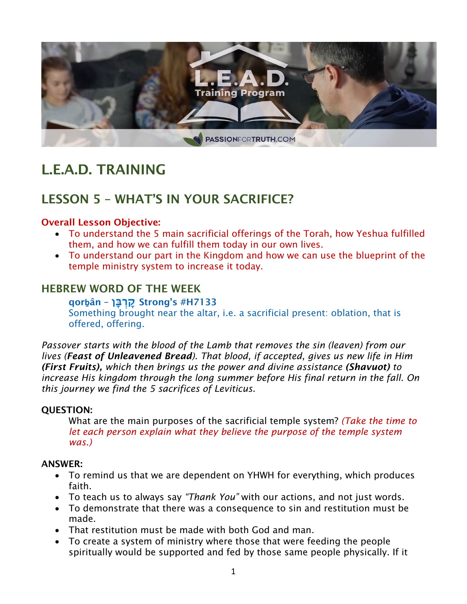

# L.E.A.D. TRAINING

# LESSON 5 – WHAT'S IN YOUR SACRIFICE?

#### Overall Lesson Objective:

- To understand the 5 main sacrificial offerings of the Torah, how Yeshua fulfilled them, and how we can fulfill them today in our own lives.
- To understand our part in the Kingdom and how we can use the blueprint of the temple ministry system to increase it today.

#### HEBREW WORD OF THE WEEK

qor**ḇ**ân – **ברקָּן** Strong's #H7133

Something brought near the altar, i.e. a sacrificial present: oblation, that is offered, offering.

*Passover starts with the blood of the Lamb that removes the sin (leaven) from our lives (Feast of Unleavened Bread). That blood, if accepted, gives us new life in Him (First Fruits), which then brings us the power and divine assistance (Shavuot) to increase His kingdom through the long summer before His final return in the fall. On this journey we find the 5 sacrifices of Leviticus.* 

#### QUESTION:

What are the main purposes of the sacrificial temple system? *(Take the time to let each person explain what they believe the purpose of the temple system was.)*

#### ANSWER:

- To remind us that we are dependent on YHWH for everything, which produces faith.
- To teach us to always say *"Thank You"* with our actions, and not just words.
- To demonstrate that there was a consequence to sin and restitution must be made.
- That restitution must be made with both God and man.
- To create a system of ministry where those that were feeding the people spiritually would be supported and fed by those same people physically. If it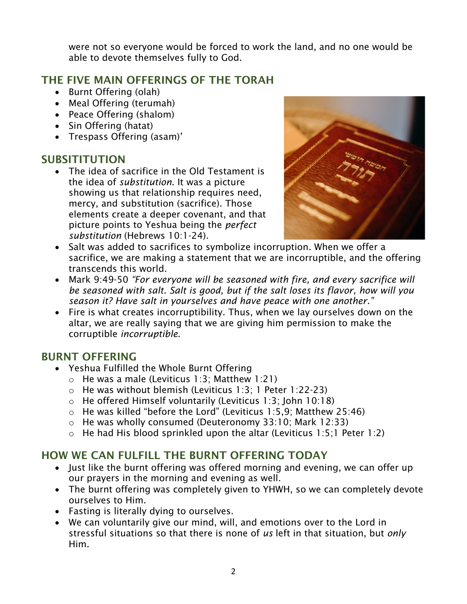were not so everyone would be forced to work the land, and no one would be able to devote themselves fully to God.

# THE FIVE MAIN OFFERINGS OF THE TORAH

- Burnt Offering (olah)
- Meal Offering (terumah)
- Peace Offering (shalom)
- Sin Offering (hatat)
- Trespass Offering (asam)'

# SUBSITITUTION

• The idea of sacrifice in the Old Testament is the idea of *substitution*. It was a picture showing us that relationship requires need, mercy, and substitution (sacrifice). Those elements create a deeper covenant, and that picture points to Yeshua being the *perfect substitution* (Hebrews 10:1-24).



- Salt was added to sacrifices to symbolize incorruption. When we offer a sacrifice, we are making a statement that we are incorruptible, and the offering transcends this world.
- Mark 9:49-50 *"For everyone will be seasoned with fire, and every sacrifice will be seasoned with salt. Salt is good, but if the salt loses its flavor, how will you season it? Have salt in yourselves and have peace with one another."*
- Fire is what creates incorruptibility. Thus, when we lay ourselves down on the altar, we are really saying that we are giving him permission to make the corruptible *incorruptible*.

## BURNT OFFERING

- Yeshua Fulfilled the Whole Burnt Offering
	- o He was a male (Leviticus 1:3; Matthew 1:21)
	- o He was without blemish (Leviticus 1:3; 1 Peter 1:22-23)
	- o He offered Himself voluntarily (Leviticus 1:3; John 10:18)
	- $\circ$  He was killed "before the Lord" (Leviticus 1:5,9; Matthew 25:46)
	- o He was wholly consumed (Deuteronomy 33:10; Mark 12:33)
	- $\circ$  He had His blood sprinkled upon the altar (Leviticus 1:5;1 Peter 1:2)

# HOW WE CAN FULFILL THE BURNT OFFERING TODAY

- Just like the burnt offering was offered morning and evening, we can offer up our prayers in the morning and evening as well.
- The burnt offering was completely given to YHWH, so we can completely devote ourselves to Him.
- Fasting is literally dying to ourselves.
- We can voluntarily give our mind, will, and emotions over to the Lord in stressful situations so that there is none of *us* left in that situation, but *only* Him.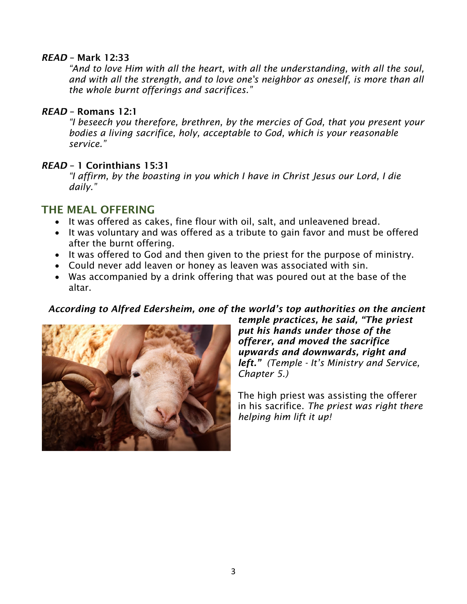#### *READ* – Mark 12:33

*"And to love Him with all the heart, with all the understanding, with all the soul, and with all the strength, and to love one's neighbor as oneself, is more than all the whole burnt offerings and sacrifices."*

#### *READ* – Romans 12:1

*"I beseech you therefore, brethren, by the mercies of God, that you present your bodies a living sacrifice, holy, acceptable to God, which is your reasonable service."*

#### *READ* – 1 Corinthians 15:31

*"I affirm, by the boasting in you which I have in Christ Jesus our Lord, I die daily."*

#### THE MEAL OFFERING

- It was offered as cakes, fine flour with oil, salt, and unleavened bread.
- It was voluntary and was offered as a tribute to gain favor and must be offered after the burnt offering.
- It was offered to God and then given to the priest for the purpose of ministry.
- Could never add leaven or honey as leaven was associated with sin.
- Was accompanied by a drink offering that was poured out at the base of the altar.

#### *According to Alfred Edersheim, one of the world's top authorities on the ancient*



*temple practices, he said, "The priest put his hands under those of the offerer, and moved the sacrifice upwards and downwards, right and left." (Temple - It's Ministry and Service, Chapter 5.)*

The high priest was assisting the offerer in his sacrifice. *The priest was right there helping him lift it up!*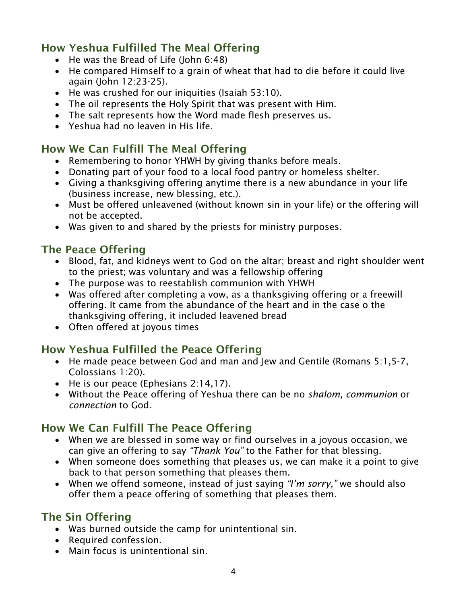# How Yeshua Fulfilled The Meal Offering

- He was the Bread of Life (John 6:48)
- He compared Himself to a grain of wheat that had to die before it could live again (John 12:23-25).
- He was crushed for our iniquities (Isaiah 53:10).
- The oil represents the Holy Spirit that was present with Him.
- The salt represents how the Word made flesh preserves us.
- Yeshua had no leaven in His life.

## How We Can Fulfill The Meal Offering

- Remembering to honor YHWH by giving thanks before meals.
- Donating part of your food to a local food pantry or homeless shelter.
- Giving a thanksgiving offering anytime there is a new abundance in your life (business increase, new blessing, etc.).
- Must be offered unleavened (without known sin in your life) or the offering will not be accepted.
- Was given to and shared by the priests for ministry purposes.

### The Peace Offering

- Blood, fat, and kidneys went to God on the altar; breast and right shoulder went to the priest; was voluntary and was a fellowship offering
- The purpose was to reestablish communion with YHWH
- Was offered after completing a vow, as a thanksgiving offering or a freewill offering. It came from the abundance of the heart and in the case o the thanksgiving offering, it included leavened bread
- Often offered at joyous times

## How Yeshua Fulfilled the Peace Offering

- He made peace between God and man and Jew and Gentile (Romans 5:1,5-7, Colossians 1:20).
- He is our peace (Ephesians 2:14,17).
- Without the Peace offering of Yeshua there can be no *shalom*, *communion* or *connection* to God.

# How We Can Fulfill The Peace Offering

- When we are blessed in some way or find ourselves in a joyous occasion, we can give an offering to say *"Thank You"* to the Father for that blessing.
- When someone does something that pleases us, we can make it a point to give back to that person something that pleases them.
- When we offend someone, instead of just saying *"I'm sorry,"* we should also offer them a peace offering of something that pleases them.

## The Sin Offering

- Was burned outside the camp for unintentional sin.
- Required confession.
- Main focus is unintentional sin.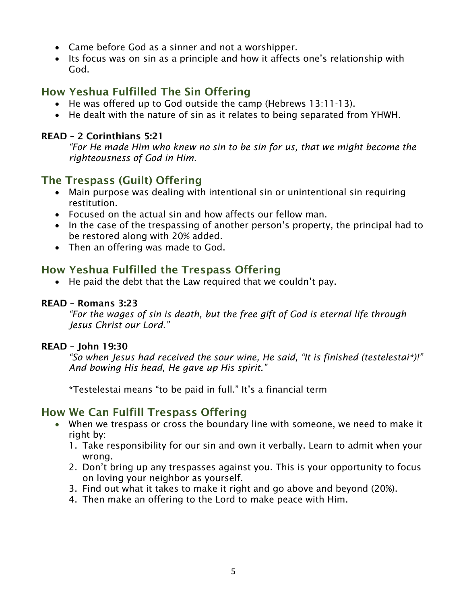- Came before God as a sinner and not a worshipper.
- Its focus was on sin as a principle and how it affects one's relationship with God.

# How Yeshua Fulfilled The Sin Offering

- He was offered up to God outside the camp (Hebrews 13:11-13).
- He dealt with the nature of sin as it relates to being separated from YHWH.

#### READ – 2 Corinthians 5:21

*"For He made Him who knew no sin to be sin for us, that we might become the righteousness of God in Him.*

## The Trespass (Guilt) Offering

- Main purpose was dealing with intentional sin or unintentional sin requiring restitution.
- Focused on the actual sin and how affects our fellow man.
- In the case of the trespassing of another person's property, the principal had to be restored along with 20% added.
- Then an offering was made to God.

## How Yeshua Fulfilled the Trespass Offering

• He paid the debt that the Law required that we couldn't pay.

#### READ – Romans 3:23

*"For the wages of sin is death, but the free gift of God is eternal life through Jesus Christ our Lord."*

#### READ – John 19:30

*"So when Jesus had received the sour wine, He said, "It is finished (testelestai\*)!" And bowing His head, He gave up His spirit."*

\*Testelestai means "to be paid in full." It's a financial term

## How We Can Fulfill Trespass Offering

- When we trespass or cross the boundary line with someone, we need to make it right by:
	- 1. Take responsibility for our sin and own it verbally. Learn to admit when your wrong.
	- 2. Don't bring up any trespasses against you. This is your opportunity to focus on loving your neighbor as yourself.
	- 3. Find out what it takes to make it right and go above and beyond (20%).
	- 4. Then make an offering to the Lord to make peace with Him.